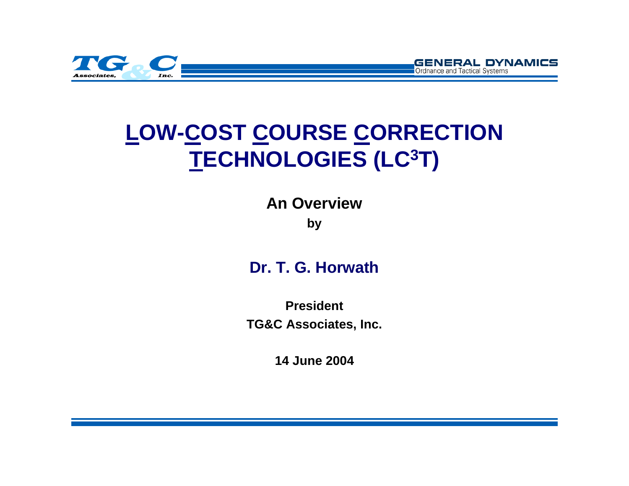

# **LOW-COST COURSE CORRECTION TECHNOLOGIES (LC3T)**

**GENERAL DYNAMICS** 

Ordnance and Tactical Systems

**An Overview**

**by**

#### **Dr. T. G. Horwath**

**PresidentTG&C Associates, Inc.**

**14 June 2004**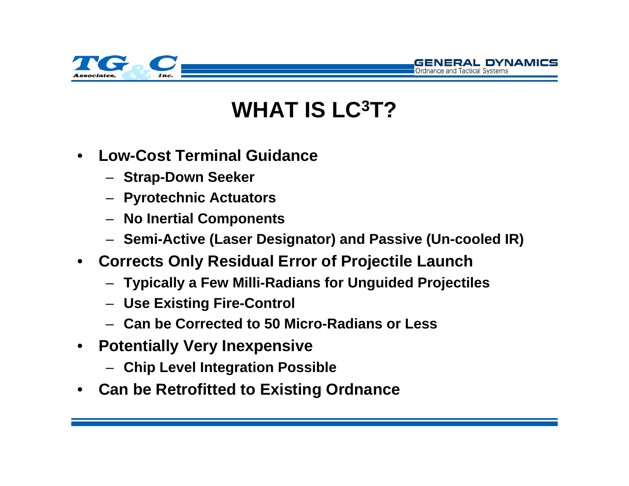

# **WHAT IS LC3T?**

GENERAL DYNAMICS

- • **Low-Cost Terminal Guidance**
	- **Strap-Down Seeker**
	- **Pyrotechnic Actuators**
	- **No Inertial Components**
	- **Semi-Active (Laser Designator) and Passive (Un-cooled IR)**
- **Corrects Only Residual Error of Projectile Launch**
	- **Typically a Few Milli-Radians for Unguided Projectiles**
	- **Use Existing Fire-Control**
	- **Can be Corrected to 50 Micro-Radians or Less**
- **Potentially Very Inexpensive**
	- **Chip Level Integration Possible**
- •**Can be Retrofitted to Existing Ordnance**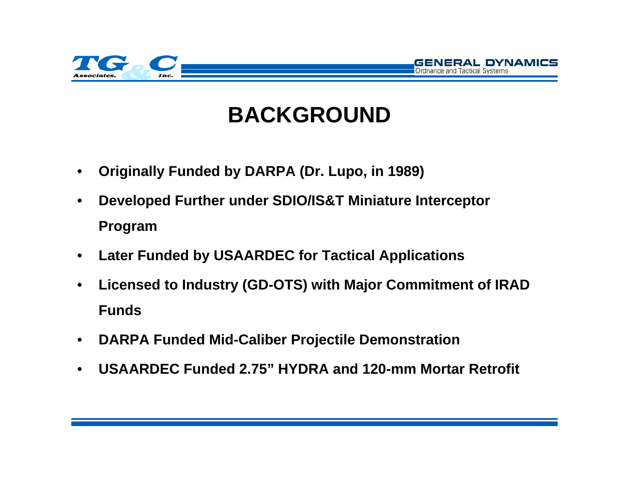

## **BACKGROUND**

GENERAL DYNAMICS

- $\bullet$ **Originally Funded by DARPA (Dr. Lupo, in 1989)**
- • **Developed Further under SDIO/IS&T Miniature Interceptor Program**
- •**Later Funded by USAARDEC for Tactical Applications**
- $\bullet$  **Licensed to Industry (GD-OTS) with Major Commitment of IRAD Funds**
- $\bullet$ **DARPA Funded Mid-Caliber Projectile Demonstration**
- •**USAARDEC Funded 2.75" HYDRA and 120-mm Mortar Retrofit**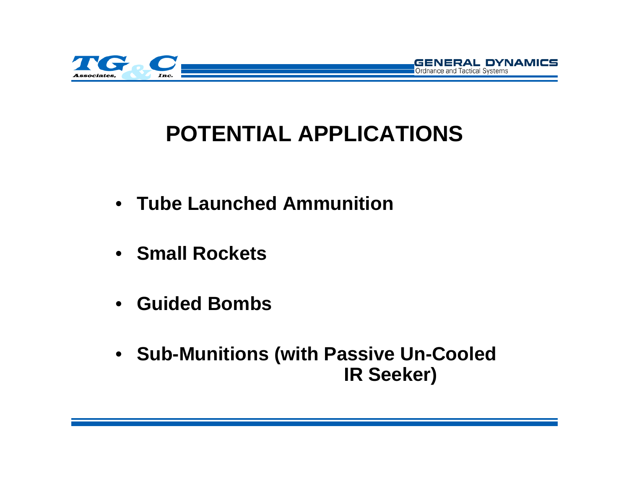

# **POTENTIAL APPLICATIONS**

GENERAL DYNAMICS

- **Tube Launched Ammunition**
- **Small Rockets**
- **Guided Bombs**
- **Sub-Munitions (with Passive Un-Cooled IR Seeker)**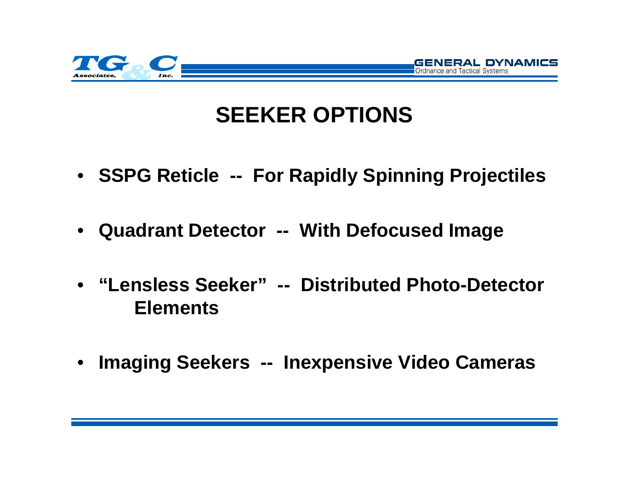

#### **SEEKER OPTIONS**

**ERAL DYNAMICS** 

- **SSPG Reticle -- For Rapidly Spinning Projectiles**
- **Quadrant Detector -- With Defocused Image**
- **"Lensless Seeker" -- Distributed Photo-Detector Elements**
- $\bullet$ **Imaging Seekers -- Inexpensive Video Cameras**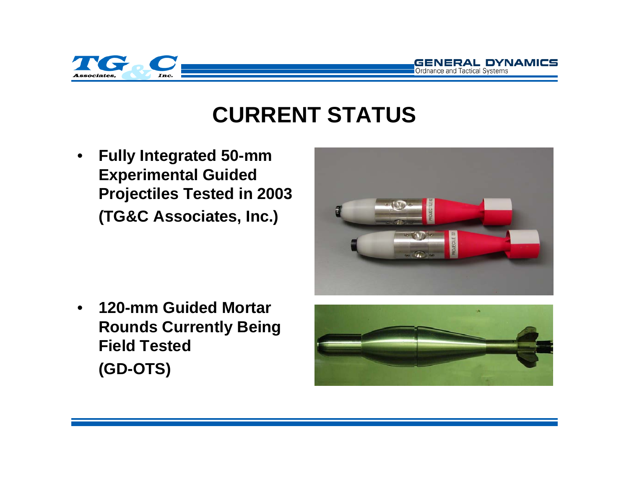



#### **CURRENT STATUS**

 $\bullet$  **Fully Integrated 50-mm Experimental Guided Projectiles Tested in 2003 (TG&C Associates, Inc.)**



• **120-mm Guided MortarRounds Currently Being Field Tested(GD-OTS)**

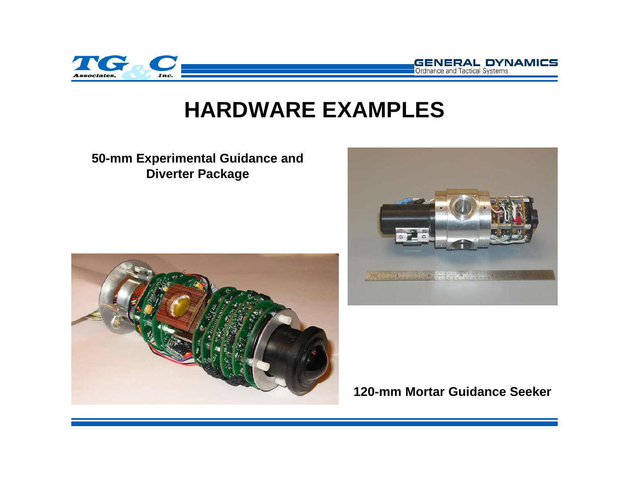

#### **HARDWARE EXAMPLES**

#### **50-mm Experimental Guidance and Diverter Package**





**GENERAL DYNAMICS** 

Ordnance and Tactical Systems

**120-mm Mortar Guidance Seeker**